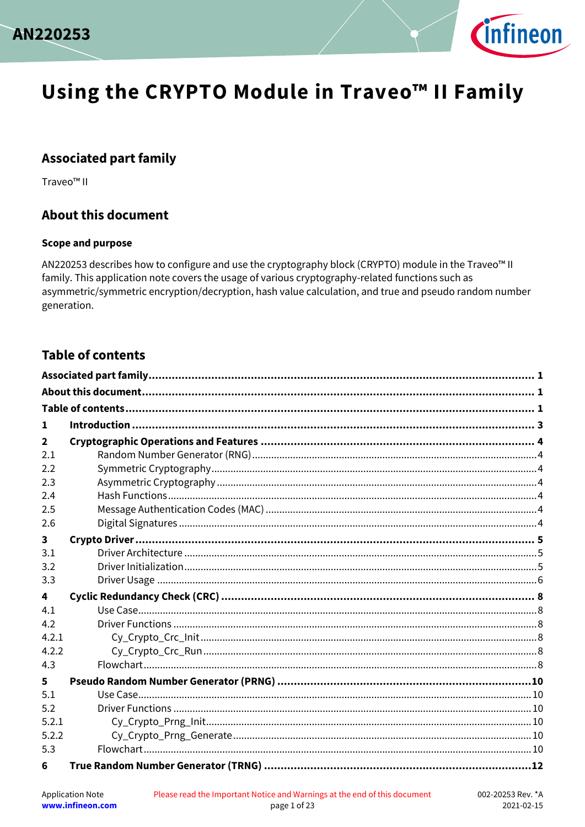



## <span id="page-0-0"></span>**Associated part family**

Traveo<sup>™</sup> II

## <span id="page-0-1"></span>**About this document**

#### **Scope and purpose**

AN220253 describes how to configure and use the cryptography block (CRYPTO) module in the Traveo<sup>™</sup> II family. This application note covers the usage of various cryptography-related functions such as asymmetric/symmetric encryption/decryption, hash value calculation, and true and pseudo random number generation.

#### <span id="page-0-2"></span>**Table of contents**

| 1            |  |  |  |  |
|--------------|--|--|--|--|
| $\mathbf{2}$ |  |  |  |  |
| 2.1          |  |  |  |  |
| 2.2          |  |  |  |  |
| 2.3          |  |  |  |  |
| 2.4          |  |  |  |  |
| 2.5          |  |  |  |  |
| 2.6          |  |  |  |  |
| 3            |  |  |  |  |
| 3.1          |  |  |  |  |
| 3.2          |  |  |  |  |
| 3.3          |  |  |  |  |
| 4            |  |  |  |  |
| 4.1          |  |  |  |  |
| 4.2          |  |  |  |  |
| 4.2.1        |  |  |  |  |
| 4.2.2        |  |  |  |  |
| 4.3          |  |  |  |  |
| 5            |  |  |  |  |
| 5.1          |  |  |  |  |
| 5.2          |  |  |  |  |
| 5.2.1        |  |  |  |  |
| 5.2.2        |  |  |  |  |
| 5.3          |  |  |  |  |
| 6            |  |  |  |  |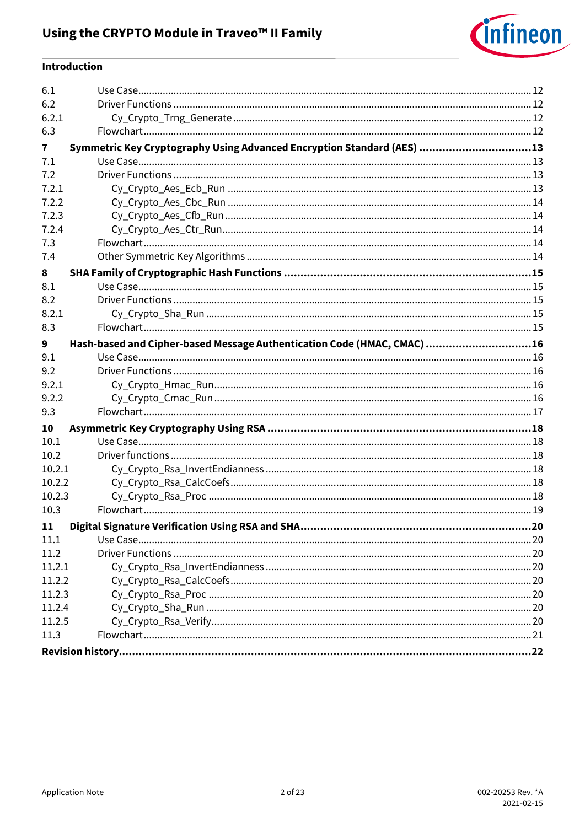

#### Introduction

| 6.1    |                                                                         |  |  |  |
|--------|-------------------------------------------------------------------------|--|--|--|
| 6.2    |                                                                         |  |  |  |
| 6.2.1  |                                                                         |  |  |  |
| 6.3    |                                                                         |  |  |  |
| 7      | Symmetric Key Cryptography Using Advanced Encryption Standard (AES) 13  |  |  |  |
| 7.1    |                                                                         |  |  |  |
| 7.2    |                                                                         |  |  |  |
| 7.2.1  |                                                                         |  |  |  |
| 7.2.2  |                                                                         |  |  |  |
| 7.2.3  |                                                                         |  |  |  |
| 7.2.4  |                                                                         |  |  |  |
| 7.3    |                                                                         |  |  |  |
| 7.4    |                                                                         |  |  |  |
| 8      |                                                                         |  |  |  |
| 8.1    |                                                                         |  |  |  |
| 8.2    |                                                                         |  |  |  |
| 8.2.1  |                                                                         |  |  |  |
| 8.3    |                                                                         |  |  |  |
| 9      | Hash-based and Cipher-based Message Authentication Code (HMAC, CMAC) 16 |  |  |  |
| 9.1    |                                                                         |  |  |  |
| 9.2    |                                                                         |  |  |  |
| 9.2.1  |                                                                         |  |  |  |
| 9.2.2  |                                                                         |  |  |  |
| 9.3    |                                                                         |  |  |  |
| 10     |                                                                         |  |  |  |
| 10.1   |                                                                         |  |  |  |
| 10.2   |                                                                         |  |  |  |
| 10.2.1 |                                                                         |  |  |  |
| 10.2.2 |                                                                         |  |  |  |
| 10.2.3 |                                                                         |  |  |  |
| 10.3   |                                                                         |  |  |  |
| 11     |                                                                         |  |  |  |
| 11.1   |                                                                         |  |  |  |
| 11.2   |                                                                         |  |  |  |
| 11.2.1 |                                                                         |  |  |  |
| 11.2.2 |                                                                         |  |  |  |
| 11.2.3 |                                                                         |  |  |  |
| 11.2.4 |                                                                         |  |  |  |
| 11.2.5 |                                                                         |  |  |  |
| 11.3   |                                                                         |  |  |  |
|        |                                                                         |  |  |  |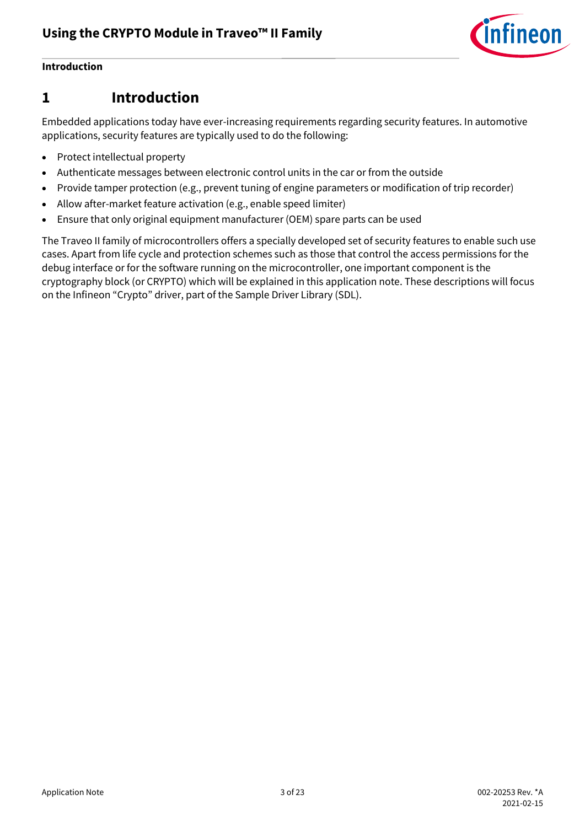

#### **Introduction**

## <span id="page-2-0"></span>**1 Introduction**

Embedded applications today have ever-increasing requirements regarding security features. In automotive applications, security features are typically used to do the following:

- Protect intellectual property
- Authenticate messages between electronic control units in the car or from the outside
- Provide tamper protection (e.g., prevent tuning of engine parameters or modification of trip recorder)
- Allow after-market feature activation (e.g., enable speed limiter)
- Ensure that only original equipment manufacturer (OEM) spare parts can be used

The Traveo II family of microcontrollers offers a specially developed set of security features to enable such use cases. Apart from life cycle and protection schemes such as those that control the access permissions for the debug interface or for the software running on the microcontroller, one important component is the cryptography block (or CRYPTO) which will be explained in this application note. These descriptions will focus on the Infineon "Crypto" driver, part of the Sample Driver Library (SDL).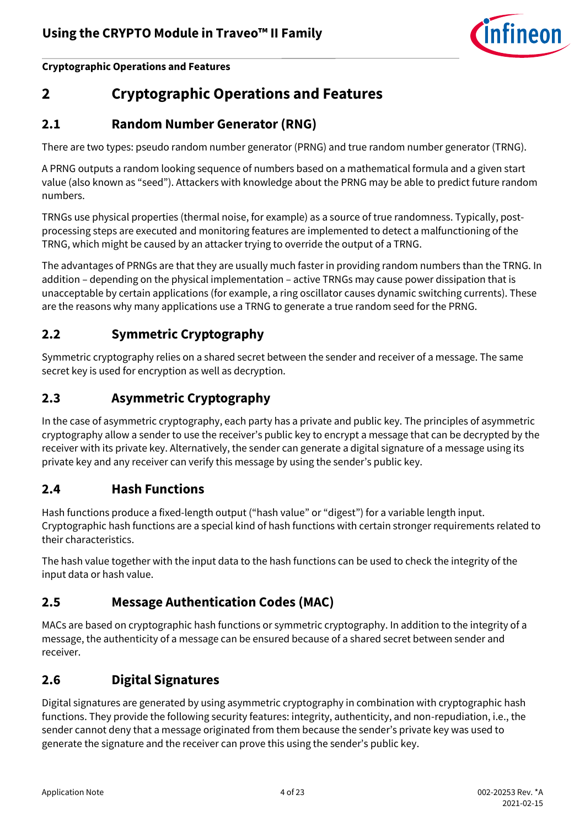

**Cryptographic Operations and Features**

# <span id="page-3-0"></span>**2 Cryptographic Operations and Features**

## <span id="page-3-1"></span>**2.1 Random Number Generator (RNG)**

There are two types: pseudo random number generator (PRNG) and true random number generator (TRNG).

A PRNG outputs a random looking sequence of numbers based on a mathematical formula and a given start value (also known as "seed"). Attackers with knowledge about the PRNG may be able to predict future random numbers.

TRNGs use physical properties (thermal noise, for example) as a source of true randomness. Typically, postprocessing steps are executed and monitoring features are implemented to detect a malfunctioning of the TRNG, which might be caused by an attacker trying to override the output of a TRNG.

The advantages of PRNGs are that they are usually much faster in providing random numbers than the TRNG. In addition – depending on the physical implementation – active TRNGs may cause power dissipation that is unacceptable by certain applications (for example, a ring oscillator causes dynamic switching currents). These are the reasons why many applications use a TRNG to generate a true random seed for the PRNG.

## <span id="page-3-2"></span>**2.2 Symmetric Cryptography**

Symmetric cryptography relies on a shared secret between the sender and receiver of a message. The same secret key is used for encryption as well as decryption.

#### <span id="page-3-3"></span>**2.3 Asymmetric Cryptography**

In the case of asymmetric cryptography, each party has a private and public key. The principles of asymmetric cryptography allow a sender to use the receiver's public key to encrypt a message that can be decrypted by the receiver with its private key. Alternatively, the sender can generate a digital signature of a message using its private key and any receiver can verify this message by using the sender's public key.

## <span id="page-3-4"></span>**2.4 Hash Functions**

Hash functions produce a fixed-length output ("hash value" or "digest") for a variable length input. Cryptographic hash functions are a special kind of hash functions with certain stronger requirements related to their characteristics.

The hash value together with the input data to the hash functions can be used to check the integrity of the input data or hash value.

## <span id="page-3-5"></span>**2.5 Message Authentication Codes (MAC)**

MACs are based on cryptographic hash functions or symmetric cryptography. In addition to the integrity of a message, the authenticity of a message can be ensured because of a shared secret between sender and receiver.

## <span id="page-3-6"></span>**2.6 Digital Signatures**

Digital signatures are generated by using asymmetric cryptography in combination with cryptographic hash functions. They provide the following security features: integrity, authenticity, and non-repudiation, i.e., the sender cannot deny that a message originated from them because the sender's private key was used to generate the signature and the receiver can prove this using the sender's public key.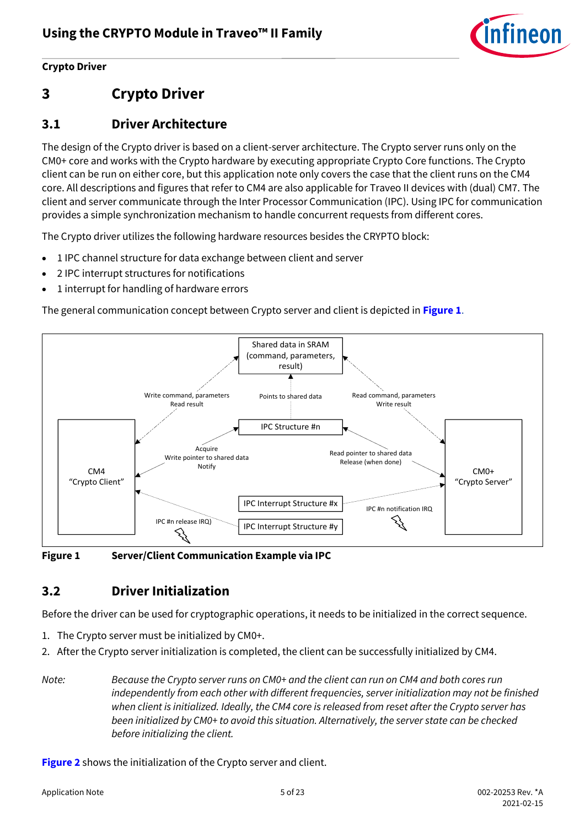

#### **Crypto Driver**

# <span id="page-4-0"></span>**3 Crypto Driver**

## <span id="page-4-1"></span>**3.1 Driver Architecture**

The design of the Crypto driver is based on a client-server architecture. The Crypto server runs only on the CM0+ core and works with the Crypto hardware by executing appropriate Crypto Core functions. The Crypto client can be run on either core, but this application note only covers the case that the client runs on the CM4 core. All descriptions and figures that refer to CM4 are also applicable for Traveo II devices with (dual) CM7. The client and server communicate through the Inter Processor Communication (IPC). Using IPC for communication provides a simple synchronization mechanism to handle concurrent requests from different cores.

The Crypto driver utilizes the following hardware resources besides the CRYPTO block:

- 1 IPC channel structure for data exchange between client and server
- 2 IPC interrupt structures for notifications
- 1 interrupt for handling of hardware errors

The general communication concept between Crypto server and client is depicted in **[Figure 1](#page-4-3)**.



<span id="page-4-3"></span>**Figure 1 Server/Client Communication Example via IPC**

## <span id="page-4-2"></span>**3.2 Driver Initialization**

Before the driver can be used for cryptographic operations, it needs to be initialized in the correct sequence.

- 1. The Crypto server must be initialized by CM0+.
- 2. After the Crypto server initialization is completed, the client can be successfully initialized by CM4.
- *Note: Because the Crypto server runs on CM0+ and the client can run on CM4 and both cores run independently from each other with different frequencies, server initialization may not be finished when client is initialized. Ideally, the CM4 core is released from reset after the Crypto server has been initialized by CM0+ to avoid this situation. Alternatively, the server state can be checked before initializing the client.*

**[Figure 2](#page-5-1)** shows the initialization of the Crypto server and client.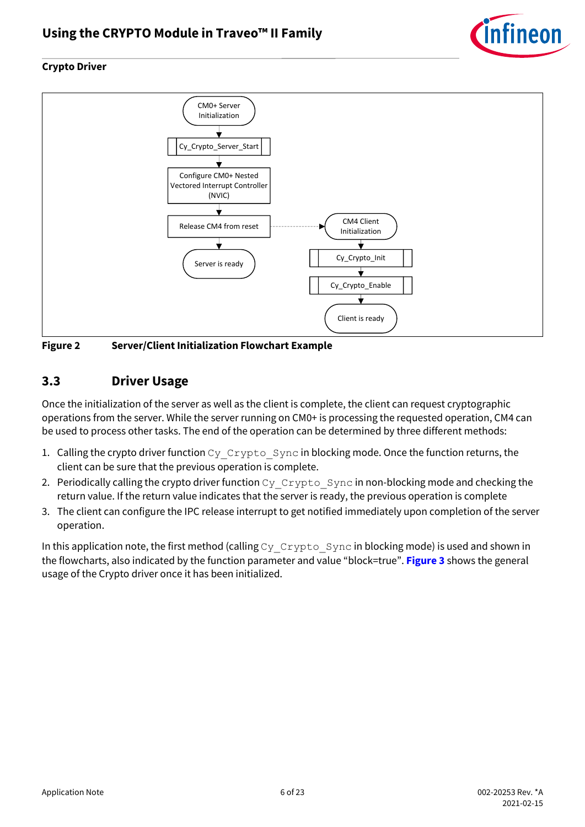

#### **Crypto Driver**



<span id="page-5-1"></span>**Figure 2 Server/Client Initialization Flowchart Example**

#### <span id="page-5-0"></span>**3.3 Driver Usage**

Once the initialization of the server as well as the client is complete, the client can request cryptographic operations from the server. While the server running on CM0+ is processing the requested operation, CM4 can be used to process other tasks. The end of the operation can be determined by three different methods:

- 1. Calling the crypto driver function Cy Crypto Sync in blocking mode. Once the function returns, the client can be sure that the previous operation is complete.
- 2. Periodically calling the crypto driver function  $cy\_Crypto\_Sync$  in non-blocking mode and checking the return value. If the return value indicates that the server is ready, the previous operation is complete
- 3. The client can configure the IPC release interrupt to get notified immediately upon completion of the server operation.

In this application note, the first method (calling  $C_y$   $Crypto$   $Sync$  in blocking mode) is used and shown in the flowcharts, also indicated by the function parameter and value "block=true". **[Figure 3](#page-6-0)** shows the general usage of the Crypto driver once it has been initialized.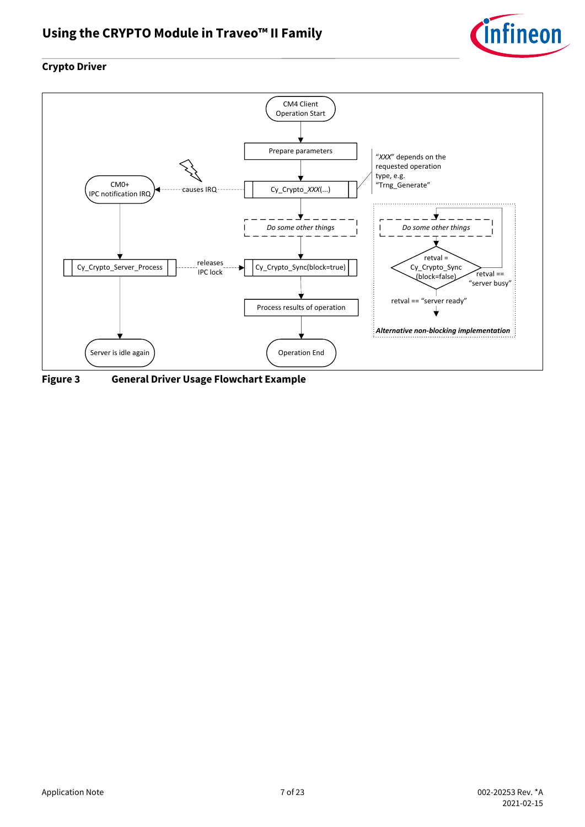

#### **Crypto Driver**



<span id="page-6-0"></span>**Figure 3 General Driver Usage Flowchart Example**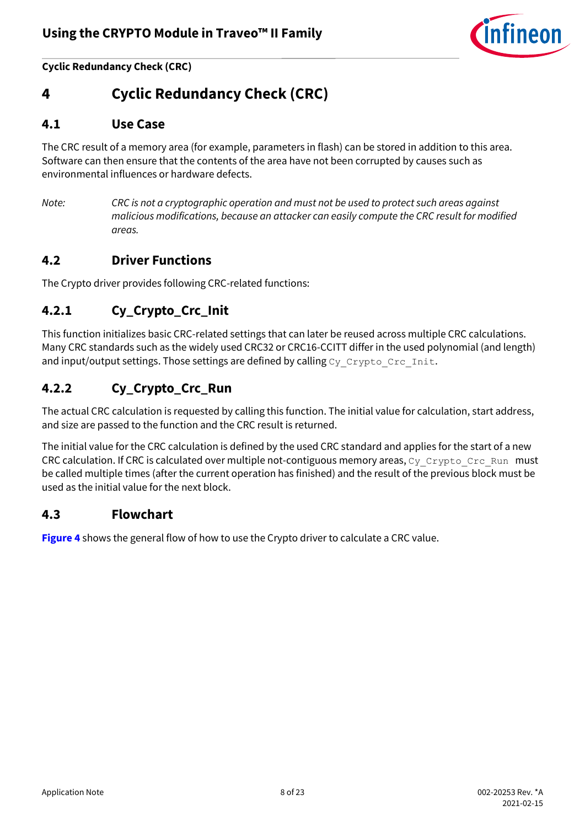

**Cyclic Redundancy Check (CRC)**

# <span id="page-7-0"></span>**4 Cyclic Redundancy Check (CRC)**

#### <span id="page-7-1"></span>**4.1 Use Case**

The CRC result of a memory area (for example, parameters in flash) can be stored in addition to this area. Software can then ensure that the contents of the area have not been corrupted by causes such as environmental influences or hardware defects.

*Note: CRC is not a cryptographic operation and must not be used to protect such areas against malicious modifications, because an attacker can easily compute the CRC result for modified areas.*

#### <span id="page-7-2"></span>**4.2 Driver Functions**

The Crypto driver provides following CRC-related functions:

#### <span id="page-7-3"></span>**4.2.1 Cy\_Crypto\_Crc\_Init**

This function initializes basic CRC-related settings that can later be reused across multiple CRC calculations. Many CRC standards such as the widely used CRC32 or CRC16-CCITT differ in the used polynomial (and length) and input/output settings. Those settings are defined by calling  $cy$  Crypto Crc Init.

#### <span id="page-7-4"></span>**4.2.2 Cy\_Crypto\_Crc\_Run**

The actual CRC calculation is requested by calling this function. The initial value for calculation, start address, and size are passed to the function and the CRC result is returned.

The initial value for the CRC calculation is defined by the used CRC standard and applies for the start of a new CRC calculation. If CRC is calculated over multiple not-contiguous memory areas,  $cy$  Crypto Crc Run must be called multiple times (after the current operation has finished) and the result of the previous block must be used as the initial value for the next block.

#### <span id="page-7-5"></span>**4.3 Flowchart**

**[Figure 4](#page-8-0)** shows the general flow of how to use the Crypto driver to calculate a CRC value.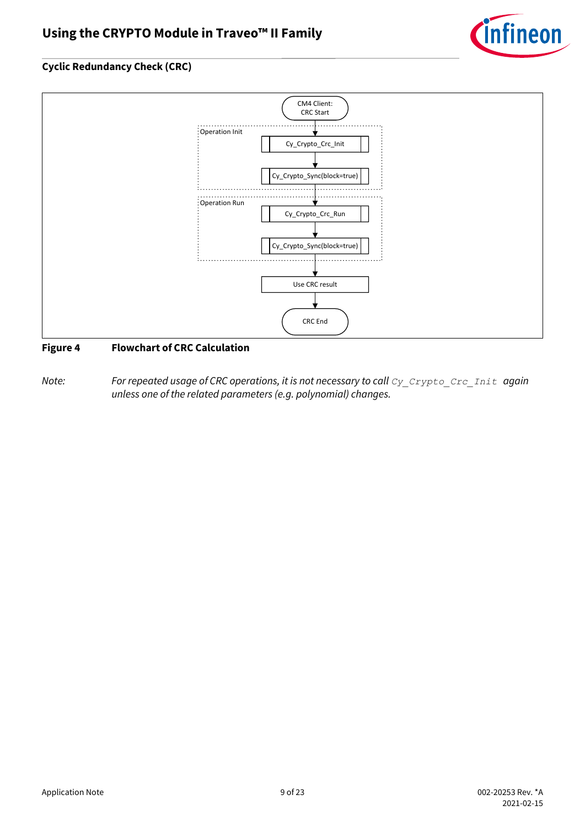

#### **Cyclic Redundancy Check (CRC)**



#### <span id="page-8-0"></span>**Figure 4 Flowchart of CRC Calculation**

*Note:* For repeated usage of CRC operations, it is not necessary to call  $cy$  *Crypto Crc Init again unless one of the related parameters (e.g. polynomial) changes.*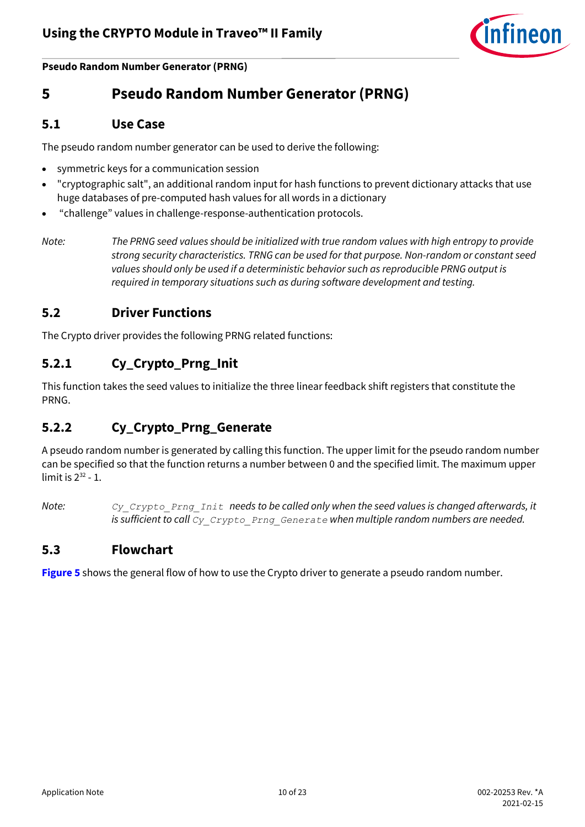

**Pseudo Random Number Generator (PRNG)**

## <span id="page-9-0"></span>**5 Pseudo Random Number Generator (PRNG)**

#### <span id="page-9-1"></span>**5.1 Use Case**

The pseudo random number generator can be used to derive the following:

- symmetric keys for a communication session
- "cryptographic salt", an additional random input for hash functions to prevent dictionary attacks that use huge databases of pre-computed hash values for all words in a dictionary
- "challenge" values in challenge-response-authentication protocols.
- *Note: The PRNG seed values should be initialized with true random values with high entropy to provide strong security characteristics. TRNG can be used for that purpose. Non-random or constant seed values should only be used if a deterministic behavior such as reproducible PRNG output is required in temporary situations such as during software development and testing.*

#### <span id="page-9-2"></span>**5.2 Driver Functions**

The Crypto driver provides the following PRNG related functions:

#### <span id="page-9-3"></span>**5.2.1 Cy\_Crypto\_Prng\_Init**

This function takes the seed values to initialize the three linear feedback shift registers that constitute the PRNG.

#### <span id="page-9-4"></span>**5.2.2 Cy\_Crypto\_Prng\_Generate**

A pseudo random number is generated by calling this function. The upper limit for the pseudo random number can be specified so that the function returns a number between 0 and the specified limit. The maximum upper limit is  $2^{32}$  - 1.

*Note: Cy\_Crypto\_Prng\_Init needs to be called only when the seed values is changed afterwards, it is sufficient to call Cy\_Crypto\_Prng\_Generate when multiple random numbers are needed.*

#### <span id="page-9-5"></span>**5.3 Flowchart**

**[Figure 5](#page-10-0)** shows the general flow of how to use the Crypto driver to generate a pseudo random number.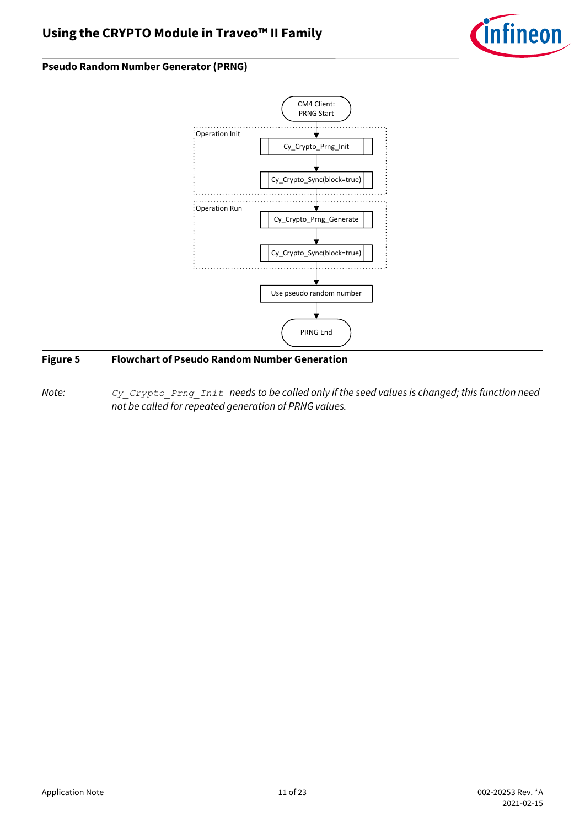

#### **Pseudo Random Number Generator (PRNG)**



#### <span id="page-10-0"></span>**Figure 5 Flowchart of Pseudo Random Number Generation**

*Note: Cy\_Crypto\_Prng\_Init needs to be called only if the seed values is changed; this function need not be called for repeated generation of PRNG values.*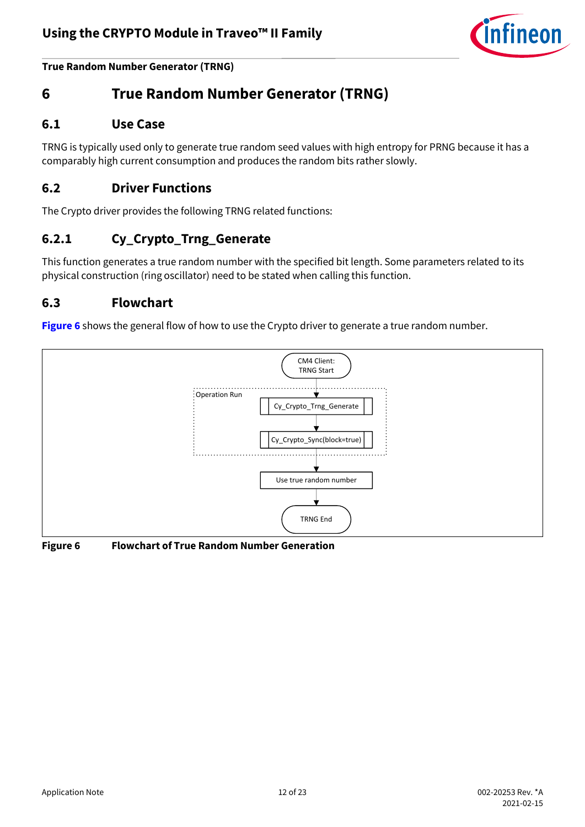

**True Random Number Generator (TRNG)**

# <span id="page-11-0"></span>**6 True Random Number Generator (TRNG)**

#### <span id="page-11-1"></span>**6.1 Use Case**

TRNG is typically used only to generate true random seed values with high entropy for PRNG because it has a comparably high current consumption and produces the random bits rather slowly.

#### <span id="page-11-2"></span>**6.2 Driver Functions**

The Crypto driver provides the following TRNG related functions:

#### <span id="page-11-3"></span>**6.2.1 Cy\_Crypto\_Trng\_Generate**

This function generates a true random number with the specified bit length. Some parameters related to its physical construction (ring oscillator) need to be stated when calling this function.

#### <span id="page-11-4"></span>**6.3 Flowchart**

**[Figure 6](#page-11-5)** shows the general flow of how to use the Crypto driver to generate a true random number.



#### <span id="page-11-5"></span>**Figure 6 Flowchart of True Random Number Generation**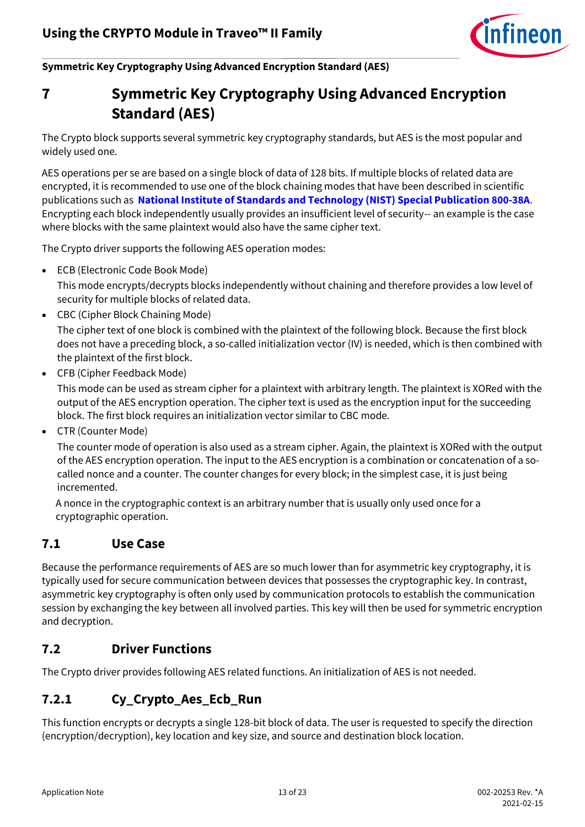

**Symmetric Key Cryptography Using Advanced Encryption Standard (AES)**

<span id="page-12-0"></span>

# **7 Symmetric Key Cryptography Using Advanced Encryption Standard (AES)**

The Crypto block supports several symmetric key cryptography standards, but AES is the most popular and widely used one.

AES operations per se are based on a single block of data of 128 bits. If multiple blocks of related data are encrypted, it is recommended to use one of the block chaining modes that have been described in scientific publications such as **[National Institute of Standards and Technology \(NIST\) Special Publication 800-38A](https://csrc.nist.gov/publications/detail/sp/800-38a/final)**. Encrypting each block independently usually provides an insufficient level of security-- an example is the case where blocks with the same plaintext would also have the same cipher text.

The Crypto driver supports the following AES operation modes:

• ECB (Electronic Code Book Mode)

This mode encrypts/decrypts blocks independently without chaining and therefore provides a low level of security for multiple blocks of related data.

• CBC (Cipher Block Chaining Mode)

The cipher text of one block is combined with the plaintext of the following block. Because the first block does not have a preceding block, a so-called initialization vector (IV) is needed, which is then combined with the plaintext of the first block.

• CFB (Cipher Feedback Mode)

This mode can be used as stream cipher for a plaintext with arbitrary length. The plaintext is XORed with the output of the AES encryption operation. The cipher text is used as the encryption input for the succeeding block. The first block requires an initialization vector similar to CBC mode.

• CTR (Counter Mode)

The counter mode of operation is also used as a stream cipher. Again, the plaintext is XORed with the output of the AES encryption operation. The input to the AES encryption is a combination or concatenation of a socalled nonce and a counter. The counter changes for every block; in the simplest case, it is just being incremented.

A nonce in the cryptographic context is an arbitrary number that is usually only used once for a cryptographic operation.

#### <span id="page-12-1"></span>**7.1 Use Case**

Because the performance requirements of AES are so much lower than for asymmetric key cryptography, it is typically used for secure communication between devices that possesses the cryptographic key. In contrast, asymmetric key cryptography is often only used by communication protocols to establish the communication session by exchanging the key between all involved parties. This key will then be used for symmetric encryption and decryption.

#### <span id="page-12-2"></span>**7.2 Driver Functions**

The Crypto driver provides following AES related functions. An initialization of AES is not needed.

#### <span id="page-12-3"></span>**7.2.1 Cy\_Crypto\_Aes\_Ecb\_Run**

This function encrypts or decrypts a single 128-bit block of data. The user is requested to specify the direction (encryption/decryption), key location and key size, and source and destination block location.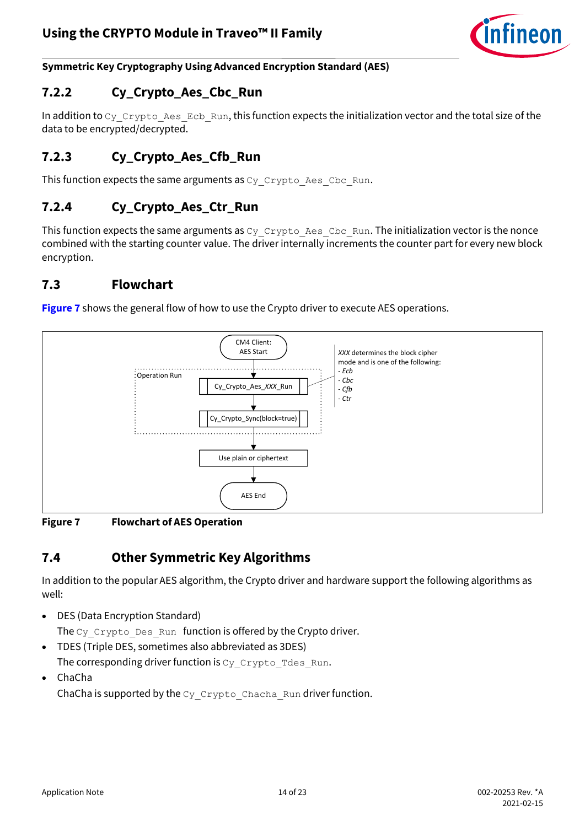

**Symmetric Key Cryptography Using Advanced Encryption Standard (AES)**

#### <span id="page-13-0"></span>**7.2.2 Cy\_Crypto\_Aes\_Cbc\_Run**

In addition to  $c_y$   $cxy$ pto Aes Ecb Run, this function expects the initialization vector and the total size of the data to be encrypted/decrypted.

## <span id="page-13-1"></span>**7.2.3 Cy\_Crypto\_Aes\_Cfb\_Run**

This function expects the same arguments as  $cy$  Crypto Aes Cbc Run.

#### <span id="page-13-2"></span>**7.2.4 Cy\_Crypto\_Aes\_Ctr\_Run**

This function expects the same arguments as  $cy$   $Crypto$  Aes  $Cbc$  Run. The initialization vector is the nonce combined with the starting counter value. The driver internally increments the counter part for every new block encryption.

#### <span id="page-13-3"></span>**7.3 Flowchart**

**[Figure 7](#page-13-5)** shows the general flow of how to use the Crypto driver to execute AES operations.



<span id="page-13-5"></span>**Figure 7 Flowchart of AES Operation**

#### <span id="page-13-4"></span>**7.4 Other Symmetric Key Algorithms**

In addition to the popular AES algorithm, the Crypto driver and hardware support the following algorithms as well:

- DES (Data Encryption Standard) The  $cy$  Crypto Des Run function is offered by the Crypto driver.
- TDES (Triple DES, sometimes also abbreviated as 3DES)

The corresponding driver function is Cy\_Crypto\_Tdes\_Run.

• ChaCha ChaCha is supported by the  $cyCrypto$  Chacha\_Run driver function.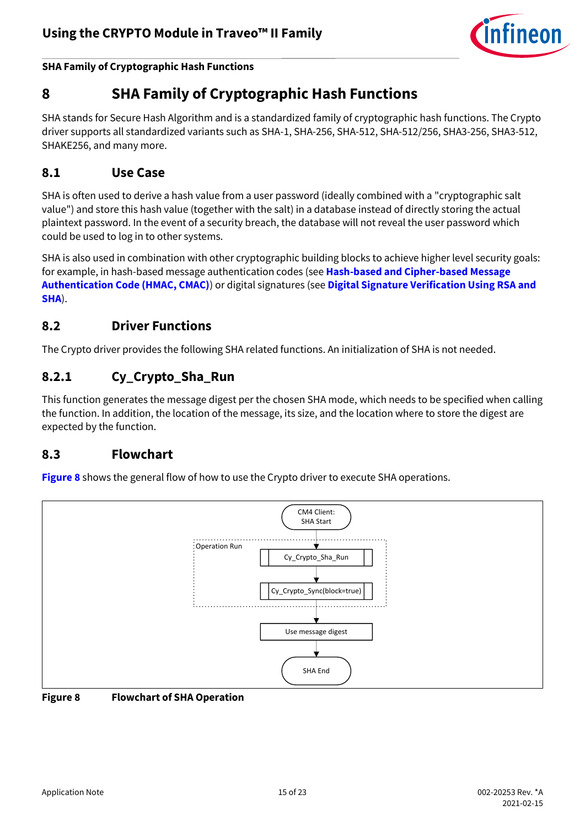

**SHA Family of Cryptographic Hash Functions**

# <span id="page-14-0"></span>**8 SHA Family of Cryptographic Hash Functions**

SHA stands for Secure Hash Algorithm and is a standardized family of cryptographic hash functions. The Crypto driver supports all standardized variants such as SHA-1, SHA-256, SHA-512, SHA-512/256, SHA3-256, SHA3-512, SHAKE256, and many more.

#### <span id="page-14-1"></span>**8.1 Use Case**

SHA is often used to derive a hash value from a user password (ideally combined with a "cryptographic salt value") and store this hash value (together with the salt) in a database instead of directly storing the actual plaintext password. In the event of a security breach, the database will not reveal the user password which could be used to log in to other systems.

SHA is also used in combination with other cryptographic building blocks to achieve higher level security goals: for example, in hash-based message authentication codes (see **[Hash-based and Cipher-based Message](#page-15-0)  [Authentication Code \(HMAC, CMAC\)](#page-15-0)**) or digital signatures (see **[Digital Signature Verification Using RSA and](#page-19-0)  [SHA](#page-19-0)**).

#### <span id="page-14-2"></span>**8.2 Driver Functions**

The Crypto driver provides the following SHA related functions. An initialization of SHA is not needed.

#### <span id="page-14-3"></span>**8.2.1 Cy\_Crypto\_Sha\_Run**

This function generates the message digest per the chosen SHA mode, which needs to be specified when calling the function. In addition, the location of the message, its size, and the location where to store the digest are expected by the function.

#### <span id="page-14-4"></span>**8.3 Flowchart**

**[Figure 8](#page-14-5)** shows the general flow of how to use the Crypto driver to execute SHA operations.



<span id="page-14-5"></span>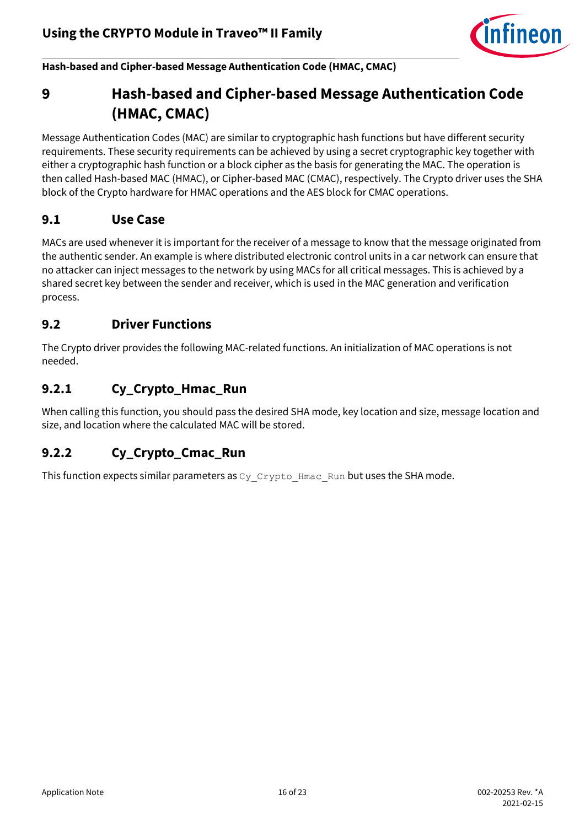

**Hash-based and Cipher-based Message Authentication Code (HMAC, CMAC)**

# <span id="page-15-0"></span>**9 Hash-based and Cipher-based Message Authentication Code (HMAC, CMAC)**

Message Authentication Codes (MAC) are similar to cryptographic hash functions but have different security requirements. These security requirements can be achieved by using a secret cryptographic key together with either a cryptographic hash function or a block cipher as the basis for generating the MAC. The operation is then called Hash-based MAC (HMAC), or Cipher-based MAC (CMAC), respectively. The Crypto driver uses the SHA block of the Crypto hardware for HMAC operations and the AES block for CMAC operations.

#### <span id="page-15-1"></span>**9.1 Use Case**

MACs are used whenever it is important for the receiver of a message to know that the message originated from the authentic sender. An example is where distributed electronic control units in a car network can ensure that no attacker can inject messages to the network by using MACs for all critical messages. This is achieved by a shared secret key between the sender and receiver, which is used in the MAC generation and verification process.

#### <span id="page-15-2"></span>**9.2 Driver Functions**

The Crypto driver provides the following MAC-related functions. An initialization of MAC operations is not needed.

#### <span id="page-15-3"></span>**9.2.1 Cy\_Crypto\_Hmac\_Run**

When calling this function, you should pass the desired SHA mode, key location and size, message location and size, and location where the calculated MAC will be stored.

#### <span id="page-15-4"></span>**9.2.2 Cy\_Crypto\_Cmac\_Run**

This function expects similar parameters as  $c_y$   $cxy$ <sub>pto</sub>  $Hmag$ <sub>Run</sub> but uses the SHA mode.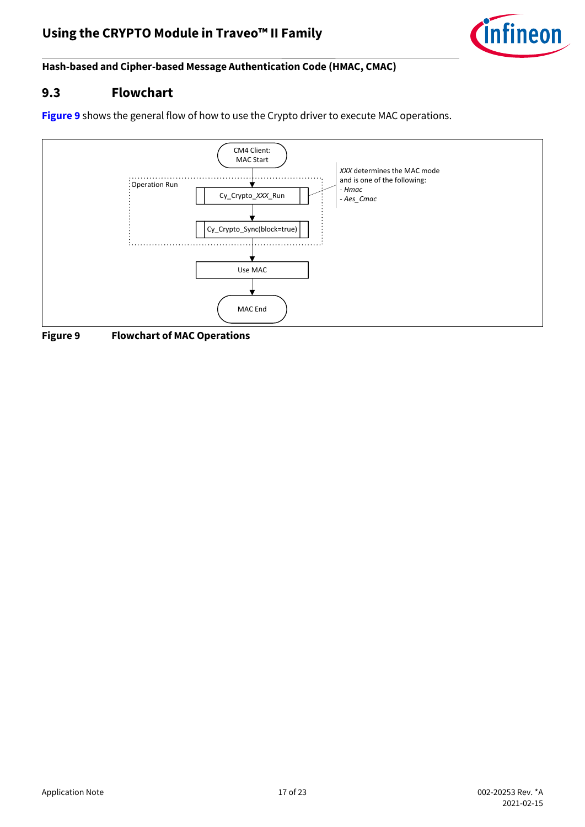

**Hash-based and Cipher-based Message Authentication Code (HMAC, CMAC)**

#### <span id="page-16-0"></span>**9.3 Flowchart**

**[Figure 9](#page-16-1)** shows the general flow of how to use the Crypto driver to execute MAC operations.



<span id="page-16-1"></span>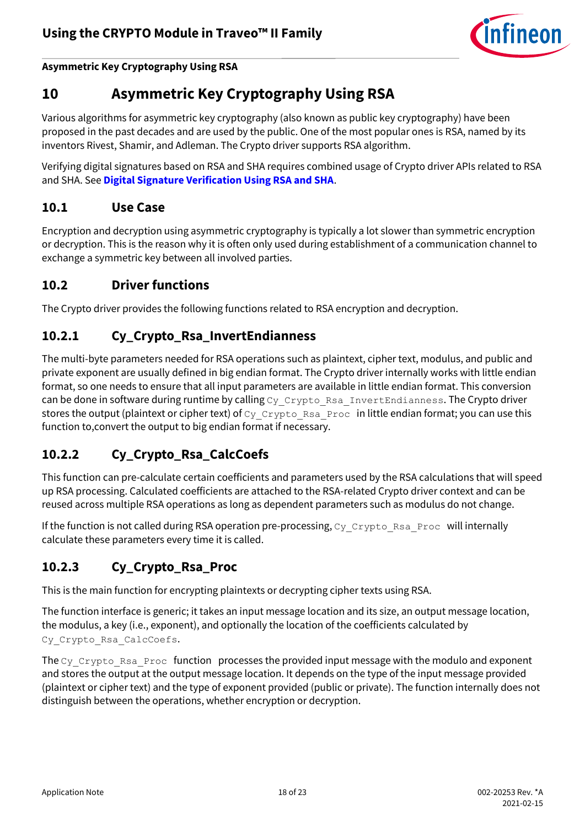

**Asymmetric Key Cryptography Using RSA**

# <span id="page-17-0"></span>**10 Asymmetric Key Cryptography Using RSA**

Various algorithms for asymmetric key cryptography (also known as public key cryptography) have been proposed in the past decades and are used by the public. One of the most popular ones is RSA, named by its inventors Rivest, Shamir, and Adleman. The Crypto driver supports RSA algorithm.

Verifying digital signatures based on RSA and SHA requires combined usage of Crypto driver APIs related to RSA and SHA. See **[Digital Signature Verification Using RSA and SHA](#page-19-0)**.

#### <span id="page-17-1"></span>**10.1 Use Case**

Encryption and decryption using asymmetric cryptography is typically a lot slower than symmetric encryption or decryption. This is the reason why it is often only used during establishment of a communication channel to exchange a symmetric key between all involved parties.

#### <span id="page-17-2"></span>**10.2 Driver functions**

The Crypto driver provides the following functions related to RSA encryption and decryption.

## <span id="page-17-3"></span>**10.2.1 Cy\_Crypto\_Rsa\_InvertEndianness**

The multi-byte parameters needed for RSA operations such as plaintext, cipher text, modulus, and public and private exponent are usually defined in big endian format. The Crypto driver internally works with little endian format, so one needs to ensure that all input parameters are available in little endian format. This conversion can be done in software during runtime by calling Cy\_Crypto\_Rsa\_InvertEndianness. The Crypto driver stores the output (plaintext or cipher text) of Cy\_Crypto\_Rsa\_Proc in little endian format; you can use this function to,convert the output to big endian format if necessary.

## <span id="page-17-4"></span>**10.2.2 Cy\_Crypto\_Rsa\_CalcCoefs**

This function can pre-calculate certain coefficients and parameters used by the RSA calculations that will speed up RSA processing. Calculated coefficients are attached to the RSA-related Crypto driver context and can be reused across multiple RSA operations as long as dependent parameters such as modulus do not change.

If the function is not called during RSA operation pre-processing, Cy\_Crypto\_Rsa\_Proc will internally calculate these parameters every time it is called.

## <span id="page-17-5"></span>**10.2.3 Cy\_Crypto\_Rsa\_Proc**

This is the main function for encrypting plaintexts or decrypting cipher texts using RSA.

The function interface is generic; it takes an input message location and its size, an output message location, the modulus, a key (i.e., exponent), and optionally the location of the coefficients calculated by Cy Crypto Rsa CalcCoefs.

The Cy\_Crypto\_Rsa\_Proc\_function processes the provided input message with the modulo and exponent and stores the output at the output message location. It depends on the type of the input message provided (plaintext or cipher text) and the type of exponent provided (public or private). The function internally does not distinguish between the operations, whether encryption or decryption.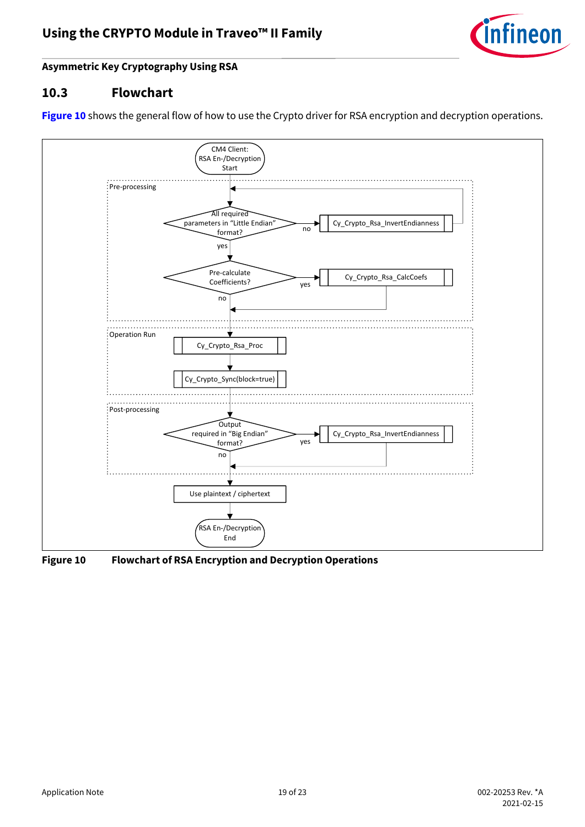

#### **Asymmetric Key Cryptography Using RSA**

#### <span id="page-18-0"></span>**10.3 Flowchart**

[Figure 10](#page-18-1) shows the general flow of how to use the Crypto driver for RSA encryption and decryption operations.



<span id="page-18-1"></span>**Figure 10 Flowchart of RSA Encryption and Decryption Operations**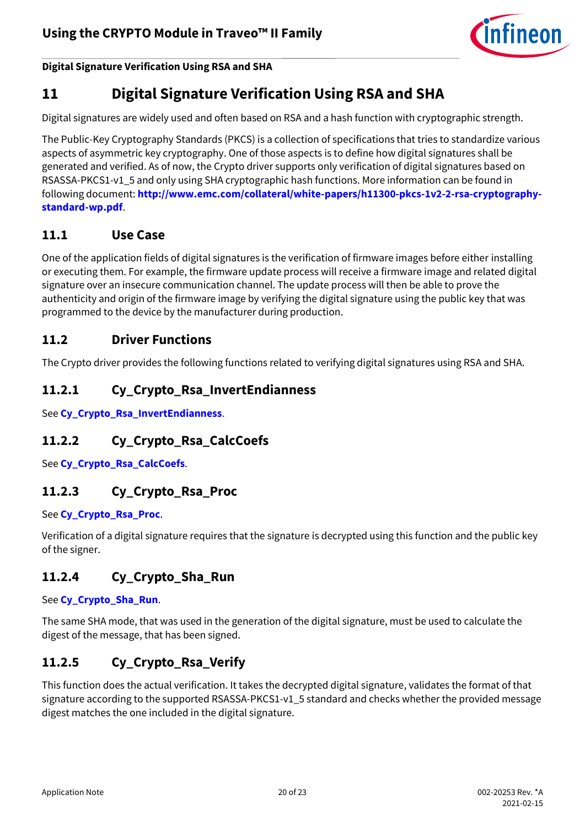

**Digital Signature Verification Using RSA and SHA**

# <span id="page-19-0"></span>**11 Digital Signature Verification Using RSA and SHA**

Digital signatures are widely used and often based on RSA and a hash function with cryptographic strength.

The Public-Key Cryptography Standards (PKCS) is a collection of specifications that tries to standardize various aspects of asymmetric key cryptography. One of those aspects is to define how digital signatures shall be generated and verified. As of now, the Crypto driver supports only verification of digital signatures based on RSASSA-PKCS1-v1\_5 and only using SHA cryptographic hash functions. More information can be found in following document: **[http://www.emc.com/collateral/white-papers/h11300-pkcs-1v2-2-rsa-cryptography](http://www.emc.com/collateral/white-papers/h11300-pkcs-1v2-2-rsa-cryptography-standard-wp.pdf)[standard-wp.pdf](http://www.emc.com/collateral/white-papers/h11300-pkcs-1v2-2-rsa-cryptography-standard-wp.pdf)**.

#### <span id="page-19-1"></span>**11.1 Use Case**

One of the application fields of digital signatures is the verification of firmware images before either installing or executing them. For example, the firmware update process will receive a firmware image and related digital signature over an insecure communication channel. The update process will then be able to prove the authenticity and origin of the firmware image by verifying the digital signature using the public key that was programmed to the device by the manufacturer during production.

#### <span id="page-19-2"></span>**11.2 Driver Functions**

The Crypto driver provides the following functions related to verifying digital signatures using RSA and SHA.

#### <span id="page-19-3"></span>**11.2.1 Cy\_Crypto\_Rsa\_InvertEndianness**

See **[Cy\\_Crypto\\_Rsa\\_InvertEndianness](#page-17-3)**.

#### <span id="page-19-4"></span>**11.2.2 Cy\_Crypto\_Rsa\_CalcCoefs**

See **[Cy\\_Crypto\\_Rsa\\_CalcCoefs](#page-17-4)**.

#### <span id="page-19-5"></span>**11.2.3 Cy\_Crypto\_Rsa\_Proc**

#### See **[Cy\\_Crypto\\_Rsa\\_Proc](#page-17-5)**.

Verification of a digital signature requires that the signature is decrypted using this function and the public key of the signer.

#### <span id="page-19-6"></span>**11.2.4 Cy\_Crypto\_Sha\_Run**

See **[Cy\\_Crypto\\_Sha\\_Run](#page-14-3)**.

The same SHA mode, that was used in the generation of the digital signature, must be used to calculate the digest of the message, that has been signed.

#### <span id="page-19-7"></span>**11.2.5 Cy\_Crypto\_Rsa\_Verify**

This function does the actual verification. It takes the decrypted digital signature, validates the format of that signature according to the supported RSASSA-PKCS1-v1\_5 standard and checks whether the provided message digest matches the one included in the digital signature.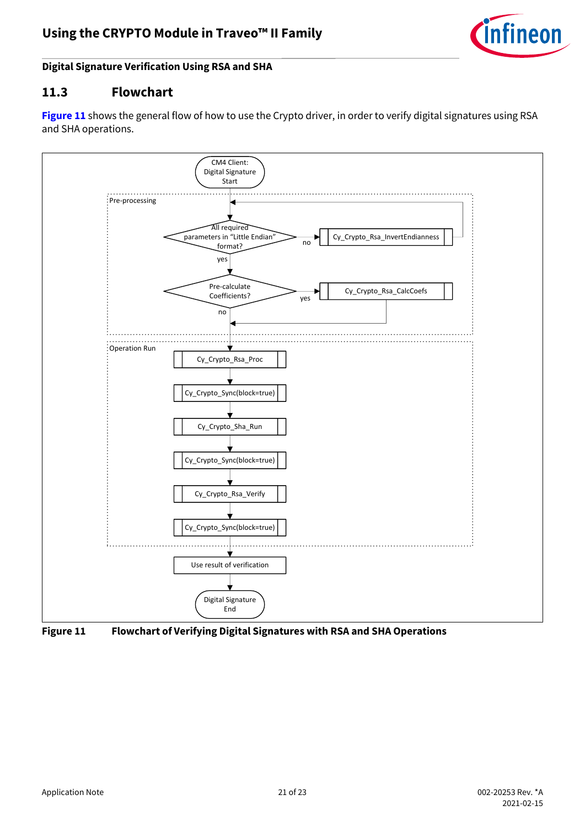

#### **Digital Signature Verification Using RSA and SHA**

#### <span id="page-20-0"></span>**11.3 Flowchart**

[Figure 11](#page-20-1) shows the general flow of how to use the Crypto driver, in order to verify digital signatures using RSA and SHA operations.



<span id="page-20-1"></span>**Figure 11 Flowchart of Verifying Digital Signatures with RSA and SHA Operations**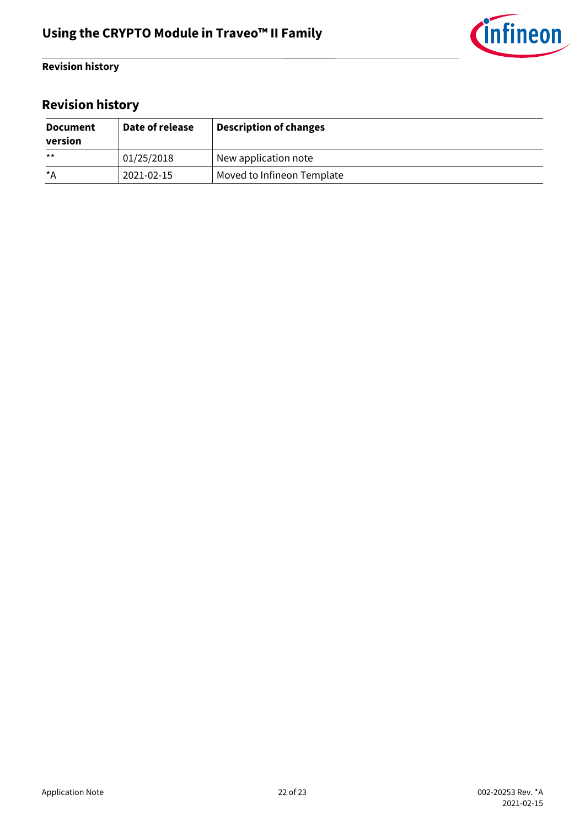

#### **Revision history**

# <span id="page-21-0"></span>**Revision history**

| <b>Document</b><br>version | Date of release | <b>Description of changes</b> |
|----------------------------|-----------------|-------------------------------|
| $***$                      | 01/25/2018      | New application note          |
| *A                         | 2021-02-15      | Moved to Infineon Template    |